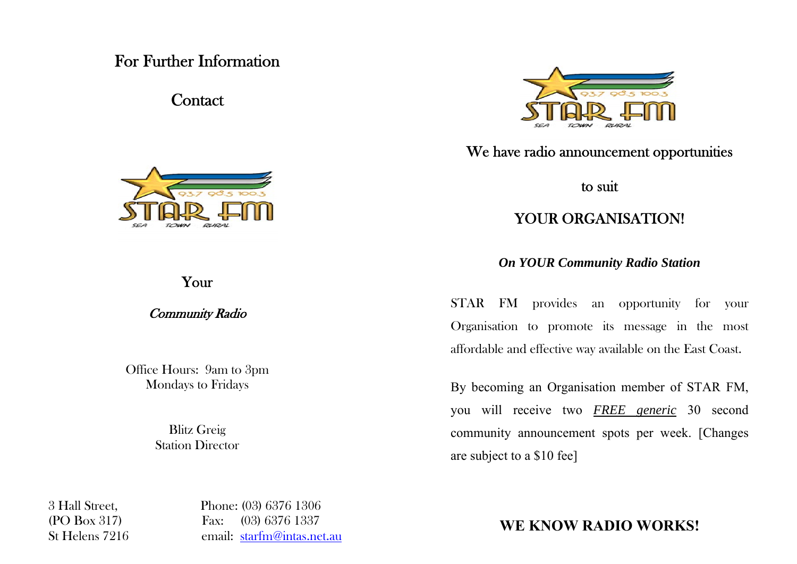### For Further Information

Contact



Your

Community Radio

Office Hours: 9am to 3pm Mondays to Fridays

> Blitz Greig **Station Director**

3 Hall Street, Phone: (03) 6376 1306 (PO Box 317) Fax: (03) 6376 1337 St Helens 7216 email: starfm@intas.net.au



We have radio announcement opportunities

to suit

### YOUR ORGANISATION!

*On YOUR Community Radio Station* 

STAR FM provides an opportunity for your Organisation to promote its message in the most affordable and effective way available on the East Coast.

By becoming an Organisation member of STAR FM, you will receive two *FREE generic* 30 second community announcement spots per week. [Changes are subject to a \$10 fee]

**WE KNOW RADIO WORKS!**